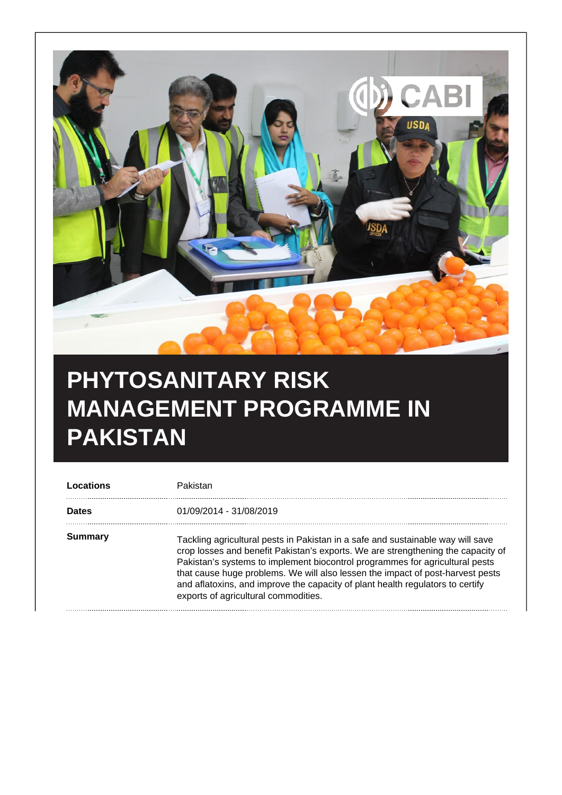

## **PHYTOSANITARY RISK MANAGEMENT PROGRAMME IN PAKISTAN**

| Locations    | Pakistan                                                                                                                                                                                                                                                                                                                                                                                                                                                        |
|--------------|-----------------------------------------------------------------------------------------------------------------------------------------------------------------------------------------------------------------------------------------------------------------------------------------------------------------------------------------------------------------------------------------------------------------------------------------------------------------|
| <b>Dates</b> | 01/09/2014 - 31/08/2019                                                                                                                                                                                                                                                                                                                                                                                                                                         |
| Summary      | Tackling agricultural pests in Pakistan in a safe and sustainable way will save<br>crop losses and benefit Pakistan's exports. We are strengthening the capacity of<br>Pakistan's systems to implement biocontrol programmes for agricultural pests<br>that cause huge problems. We will also lessen the impact of post-harvest pests<br>and aflatoxins, and improve the capacity of plant health regulators to certify<br>exports of agricultural commodities. |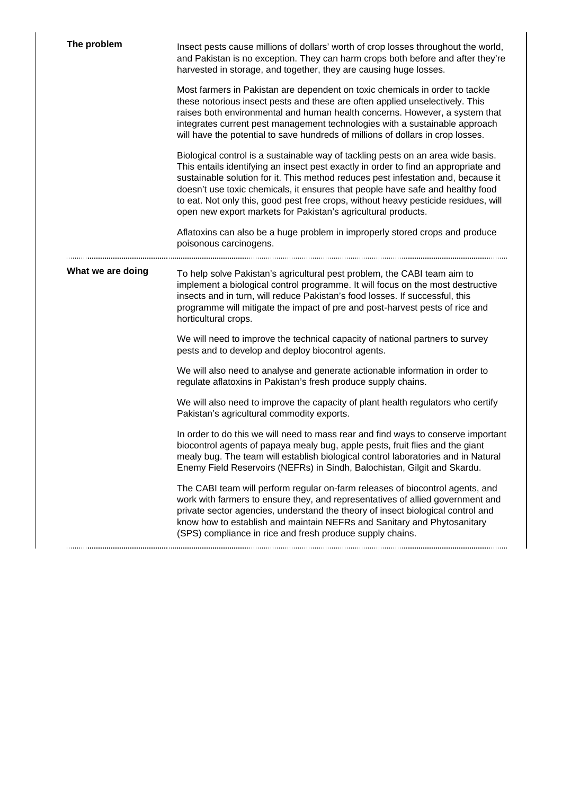| The problem       | Insect pests cause millions of dollars' worth of crop losses throughout the world,<br>and Pakistan is no exception. They can harm crops both before and after they're<br>harvested in storage, and together, they are causing huge losses.                                                                                                                                                                                                                                                             |
|-------------------|--------------------------------------------------------------------------------------------------------------------------------------------------------------------------------------------------------------------------------------------------------------------------------------------------------------------------------------------------------------------------------------------------------------------------------------------------------------------------------------------------------|
|                   | Most farmers in Pakistan are dependent on toxic chemicals in order to tackle<br>these notorious insect pests and these are often applied unselectively. This<br>raises both environmental and human health concerns. However, a system that<br>integrates current pest management technologies with a sustainable approach<br>will have the potential to save hundreds of millions of dollars in crop losses.                                                                                          |
|                   | Biological control is a sustainable way of tackling pests on an area wide basis.<br>This entails identifying an insect pest exactly in order to find an appropriate and<br>sustainable solution for it. This method reduces pest infestation and, because it<br>doesn't use toxic chemicals, it ensures that people have safe and healthy food<br>to eat. Not only this, good pest free crops, without heavy pesticide residues, will<br>open new export markets for Pakistan's agricultural products. |
|                   | Aflatoxins can also be a huge problem in improperly stored crops and produce<br>poisonous carcinogens.                                                                                                                                                                                                                                                                                                                                                                                                 |
| What we are doing | To help solve Pakistan's agricultural pest problem, the CABI team aim to<br>implement a biological control programme. It will focus on the most destructive<br>insects and in turn, will reduce Pakistan's food losses. If successful, this<br>programme will mitigate the impact of pre and post-harvest pests of rice and<br>horticultural crops.                                                                                                                                                    |
|                   | We will need to improve the technical capacity of national partners to survey<br>pests and to develop and deploy biocontrol agents.                                                                                                                                                                                                                                                                                                                                                                    |
|                   | We will also need to analyse and generate actionable information in order to<br>regulate aflatoxins in Pakistan's fresh produce supply chains.                                                                                                                                                                                                                                                                                                                                                         |
|                   | We will also need to improve the capacity of plant health regulators who certify<br>Pakistan's agricultural commodity exports.                                                                                                                                                                                                                                                                                                                                                                         |
|                   | In order to do this we will need to mass rear and find ways to conserve important<br>biocontrol agents of papaya mealy bug, apple pests, fruit flies and the giant<br>mealy bug. The team will establish biological control laboratories and in Natural<br>Enemy Field Reservoirs (NEFRs) in Sindh, Balochistan, Gilgit and Skardu.                                                                                                                                                                    |
|                   | The CABI team will perform regular on-farm releases of biocontrol agents, and<br>work with farmers to ensure they, and representatives of allied government and<br>private sector agencies, understand the theory of insect biological control and<br>know how to establish and maintain NEFRs and Sanitary and Phytosanitary<br>(SPS) compliance in rice and fresh produce supply chains.                                                                                                             |